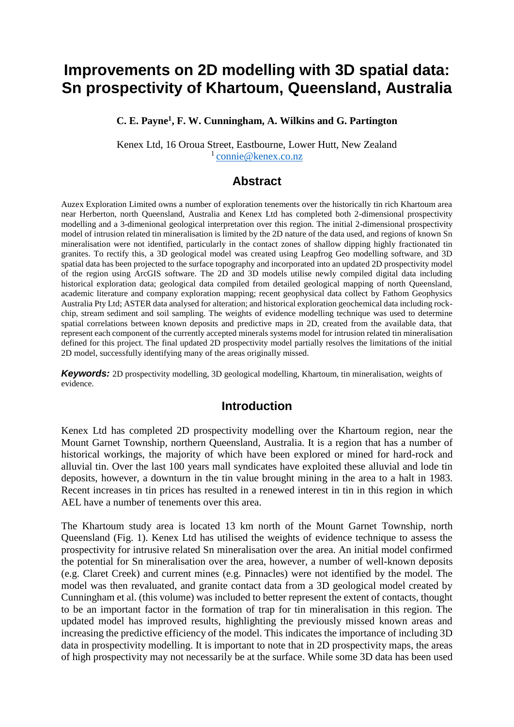# **Improvements on 2D modelling with 3D spatial data: Sn prospectivity of Khartoum, Queensland, Australia**

**C. E. Payne<sup>1</sup> , F. W. Cunningham, A. Wilkins and G. Partington**

Kenex Ltd, 16 Oroua Street, Eastbourne, Lower Hutt, New Zealand  $1$  [connie@kenex.co.nz](mailto:connie@kenex.co.nz)

#### **Abstract**

Auzex Exploration Limited owns a number of exploration tenements over the historically tin rich Khartoum area near Herberton, north Queensland, Australia and Kenex Ltd has completed both 2-dimensional prospectivity modelling and a 3-dimenional geological interpretation over this region. The initial 2-dimensional prospectivity model of intrusion related tin mineralisation is limited by the 2D nature of the data used, and regions of known Sn mineralisation were not identified, particularly in the contact zones of shallow dipping highly fractionated tin granites. To rectify this, a 3D geological model was created using Leapfrog Geo modelling software, and 3D spatial data has been projected to the surface topography and incorporated into an updated 2D prospectivity model of the region using ArcGIS software. The 2D and 3D models utilise newly compiled digital data including historical exploration data; geological data compiled from detailed geological mapping of north Queensland, academic literature and company exploration mapping; recent geophysical data collect by Fathom Geophysics Australia Pty Ltd; ASTER data analysed for alteration; and historical exploration geochemical data including rockchip, stream sediment and soil sampling. The weights of evidence modelling technique was used to determine spatial correlations between known deposits and predictive maps in 2D, created from the available data, that represent each component of the currently accepted minerals systems model for intrusion related tin mineralisation defined for this project. The final updated 2D prospectivity model partially resolves the limitations of the initial 2D model, successfully identifying many of the areas originally missed.

*Keywords:* 2D prospectivity modelling, 3D geological modelling, Khartoum, tin mineralisation, weights of evidence.

#### **Introduction**

Kenex Ltd has completed 2D prospectivity modelling over the Khartoum region, near the Mount Garnet Township, northern Queensland, Australia. It is a region that has a number of historical workings, the majority of which have been explored or mined for hard-rock and alluvial tin. Over the last 100 years mall syndicates have exploited these alluvial and lode tin deposits, however, a downturn in the tin value brought mining in the area to a halt in 1983. Recent increases in tin prices has resulted in a renewed interest in tin in this region in which AEL have a number of tenements over this area.

The Khartoum study area is located 13 km north of the Mount Garnet Township, north Queensland (Fig. 1). Kenex Ltd has utilised the weights of evidence technique to assess the prospectivity for intrusive related Sn mineralisation over the area. An initial model confirmed the potential for Sn mineralisation over the area, however, a number of well-known deposits (e.g. Claret Creek) and current mines (e.g. Pinnacles) were not identified by the model. The model was then revaluated, and granite contact data from a 3D geological model created by Cunningham et al. (this volume) was included to better represent the extent of contacts, thought to be an important factor in the formation of trap for tin mineralisation in this region. The updated model has improved results, highlighting the previously missed known areas and increasing the predictive efficiency of the model. This indicates the importance of including 3D data in prospectivity modelling. It is important to note that in 2D prospectivity maps, the areas of high prospectivity may not necessarily be at the surface. While some 3D data has been used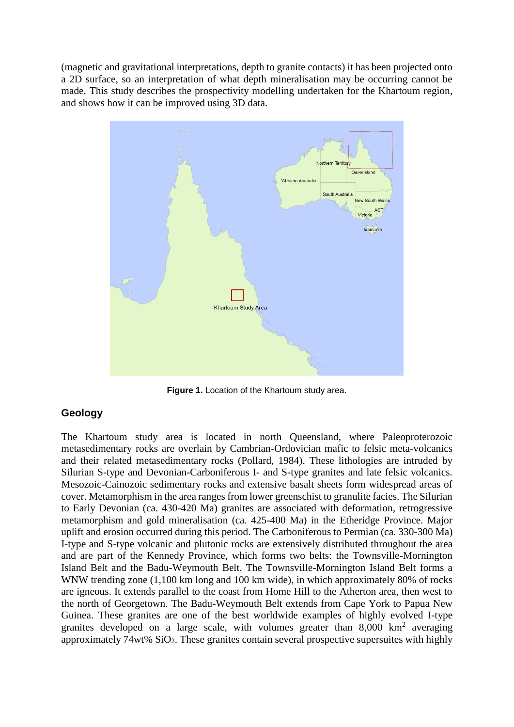(magnetic and gravitational interpretations, depth to granite contacts) it has been projected onto a 2D surface, so an interpretation of what depth mineralisation may be occurring cannot be made. This study describes the prospectivity modelling undertaken for the Khartoum region, and shows how it can be improved using 3D data.



**Figure 1.** Location of the Khartoum study area.

#### **Geology**

The Khartoum study area is located in north Queensland, where Paleoproterozoic metasedimentary rocks are overlain by Cambrian-Ordovician mafic to felsic meta-volcanics and their related metasedimentary rocks (Pollard, 1984). These lithologies are intruded by Silurian S-type and Devonian-Carboniferous I- and S-type granites and late felsic volcanics. Mesozoic-Cainozoic sedimentary rocks and extensive basalt sheets form widespread areas of cover. Metamorphism in the area ranges from lower greenschist to granulite facies. The Silurian to Early Devonian (ca. 430-420 Ma) granites are associated with deformation, retrogressive metamorphism and gold mineralisation (ca. 425-400 Ma) in the Etheridge Province. Major uplift and erosion occurred during this period. The Carboniferous to Permian (ca. 330-300 Ma) I-type and S-type volcanic and plutonic rocks are extensively distributed throughout the area and are part of the Kennedy Province, which forms two belts: the Townsville-Mornington Island Belt and the Badu-Weymouth Belt. The Townsville-Mornington Island Belt forms a WNW trending zone (1,100 km long and 100 km wide), in which approximately 80% of rocks are igneous. It extends parallel to the coast from Home Hill to the Atherton area, then west to the north of Georgetown. The Badu-Weymouth Belt extends from Cape York to Papua New Guinea. These granites are one of the best worldwide examples of highly evolved I-type granites developed on a large scale, with volumes greater than  $8,000 \text{ km}^2$  averaging approximately  $74wt\%$  SiO<sub>2</sub>. These granites contain several prospective supersuites with highly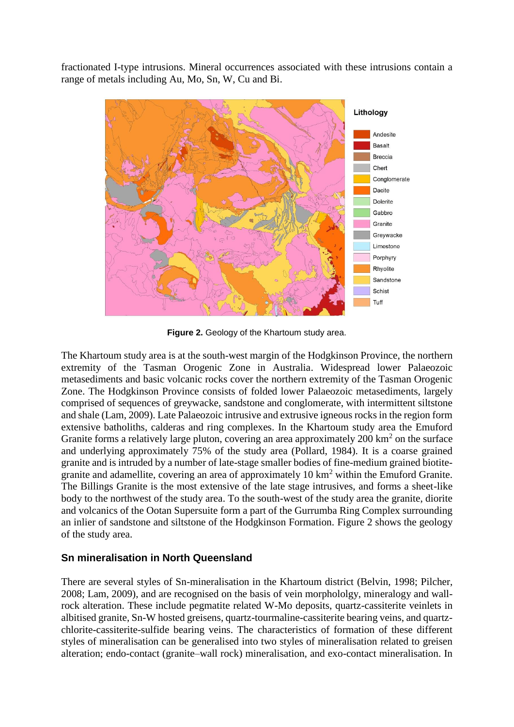fractionated I-type intrusions. Mineral occurrences associated with these intrusions contain a range of metals including Au, Mo, Sn, W, Cu and Bi.



**Figure 2.** Geology of the Khartoum study area.

The Khartoum study area is at the south-west margin of the Hodgkinson Province, the northern extremity of the Tasman Orogenic Zone in Australia. Widespread lower Palaeozoic metasediments and basic volcanic rocks cover the northern extremity of the Tasman Orogenic Zone. The Hodgkinson Province consists of folded lower Palaeozoic metasediments, largely comprised of sequences of greywacke, sandstone and conglomerate, with intermittent siltstone and shale (Lam, 2009). Late Palaeozoic intrusive and extrusive igneous rocks in the region form extensive batholiths, calderas and ring complexes. In the Khartoum study area the Emuford Granite forms a relatively large pluton, covering an area approximately  $200 \text{ km}^2$  on the surface and underlying approximately 75% of the study area (Pollard, 1984). It is a coarse grained granite and is intruded by a number of late-stage smaller bodies of fine-medium grained biotitegranite and adamellite, covering an area of approximately 10 km<sup>2</sup> within the Emuford Granite. The Billings Granite is the most extensive of the late stage intrusives, and forms a sheet-like body to the northwest of the study area. To the south-west of the study area the granite, diorite and volcanics of the Ootan Supersuite form a part of the Gurrumba Ring Complex surrounding an inlier of sandstone and siltstone of the Hodgkinson Formation. Figure 2 shows the geology of the study area.

#### **Sn mineralisation in North Queensland**

There are several styles of Sn-mineralisation in the Khartoum district (Belvin, 1998; Pilcher, 2008; Lam, 2009), and are recognised on the basis of vein morphololgy, mineralogy and wallrock alteration. These include pegmatite related W-Mo deposits, quartz-cassiterite veinlets in albitised granite, Sn-W hosted greisens, quartz-tourmaline-cassiterite bearing veins, and quartzchlorite-cassiterite-sulfide bearing veins. The characteristics of formation of these different styles of mineralisation can be generalised into two styles of mineralisation related to greisen alteration; endo-contact (granite–wall rock) mineralisation, and exo-contact mineralisation. In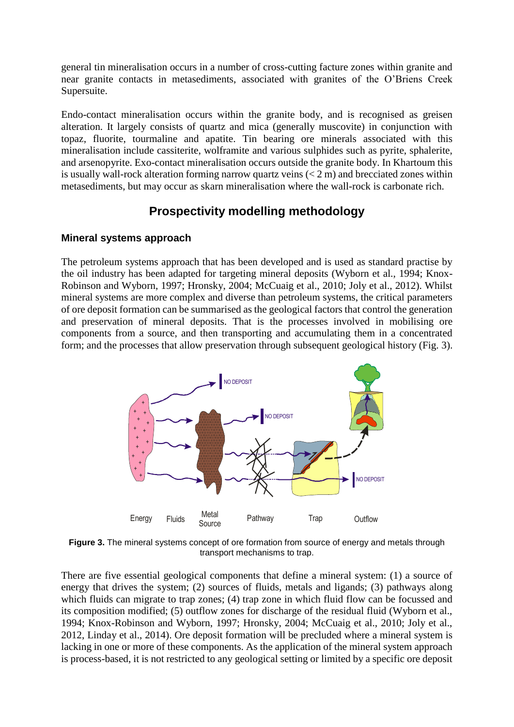general tin mineralisation occurs in a number of cross-cutting facture zones within granite and near granite contacts in metasediments, associated with granites of the O'Briens Creek Supersuite.

Endo-contact mineralisation occurs within the granite body, and is recognised as greisen alteration. It largely consists of quartz and mica (generally muscovite) in conjunction with topaz, fluorite, tourmaline and apatite. Tin bearing ore minerals associated with this mineralisation include cassiterite, wolframite and various sulphides such as pyrite, sphalerite, and arsenopyrite. Exo-contact mineralisation occurs outside the granite body. In Khartoum this is usually wall-rock alteration forming narrow quartz veins  $(< 2 \text{ m})$  and brecciated zones within metasediments, but may occur as skarn mineralisation where the wall-rock is carbonate rich.

# **Prospectivity modelling methodology**

#### **Mineral systems approach**

The petroleum systems approach that has been developed and is used as standard practise by the oil industry has been adapted for targeting mineral deposits (Wyborn et al., 1994; Knox-Robinson and Wyborn, 1997; Hronsky, 2004; McCuaig et al., 2010; Joly et al., 2012). Whilst mineral systems are more complex and diverse than petroleum systems, the critical parameters of ore deposit formation can be summarised as the geological factors that control the generation and preservation of mineral deposits. That is the processes involved in mobilising ore components from a source, and then transporting and accumulating them in a concentrated form; and the processes that allow preservation through subsequent geological history (Fig. 3).



**Figure 3.** The mineral systems concept of ore formation from source of energy and metals through transport mechanisms to trap.

There are five essential geological components that define a mineral system: (1) a source of energy that drives the system; (2) sources of fluids, metals and ligands; (3) pathways along which fluids can migrate to trap zones; (4) trap zone in which fluid flow can be focussed and its composition modified; (5) outflow zones for discharge of the residual fluid (Wyborn et al., 1994; Knox-Robinson and Wyborn, 1997; Hronsky, 2004; McCuaig et al., 2010; Joly et al., 2012, Linday et al., 2014). Ore deposit formation will be precluded where a mineral system is lacking in one or more of these components. As the application of the mineral system approach is process-based, it is not restricted to any geological setting or limited by a specific ore deposit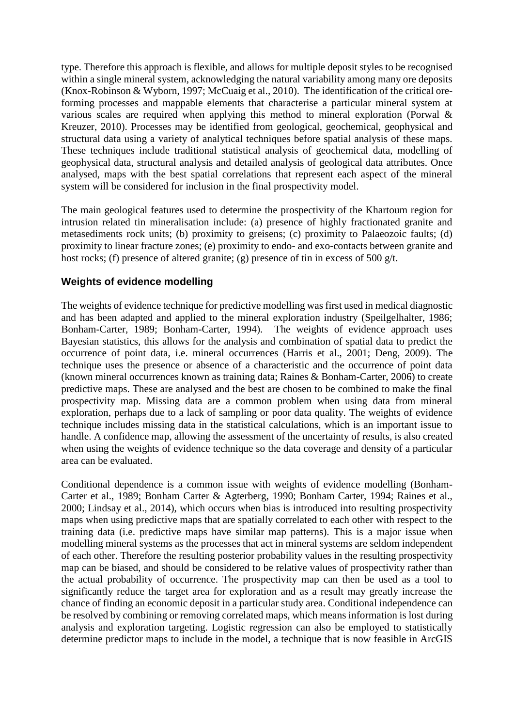type. Therefore this approach is flexible, and allows for multiple deposit styles to be recognised within a single mineral system, acknowledging the natural variability among many ore deposits (Knox-Robinson & Wyborn, 1997; McCuaig et al., 2010). The identification of the critical oreforming processes and mappable elements that characterise a particular mineral system at various scales are required when applying this method to mineral exploration (Porwal & Kreuzer, 2010). Processes may be identified from geological, geochemical, geophysical and structural data using a variety of analytical techniques before spatial analysis of these maps. These techniques include traditional statistical analysis of geochemical data, modelling of geophysical data, structural analysis and detailed analysis of geological data attributes. Once analysed, maps with the best spatial correlations that represent each aspect of the mineral system will be considered for inclusion in the final prospectivity model.

The main geological features used to determine the prospectivity of the Khartoum region for intrusion related tin mineralisation include: (a) presence of highly fractionated granite and metasediments rock units; (b) proximity to greisens; (c) proximity to Palaeozoic faults; (d) proximity to linear fracture zones; (e) proximity to endo- and exo-contacts between granite and host rocks; (f) presence of altered granite; (g) presence of tin in excess of 500 g/t.

#### **Weights of evidence modelling**

The weights of evidence technique for predictive modelling was first used in medical diagnostic and has been adapted and applied to the mineral exploration industry (Speilgelhalter, 1986; Bonham-Carter, 1989; Bonham-Carter, 1994).The weights of evidence approach uses Bayesian statistics, this allows for the analysis and combination of spatial data to predict the occurrence of point data, i.e. mineral occurrences (Harris et al., 2001; Deng, 2009). The technique uses the presence or absence of a characteristic and the occurrence of point data (known mineral occurrences known as training data; Raines & Bonham-Carter, 2006) to create predictive maps. These are analysed and the best are chosen to be combined to make the final prospectivity map. Missing data are a common problem when using data from mineral exploration, perhaps due to a lack of sampling or poor data quality. The weights of evidence technique includes missing data in the statistical calculations, which is an important issue to handle. A confidence map, allowing the assessment of the uncertainty of results, is also created when using the weights of evidence technique so the data coverage and density of a particular area can be evaluated.

Conditional dependence is a common issue with weights of evidence modelling (Bonham-Carter et al., 1989; Bonham Carter & Agterberg, 1990; Bonham Carter, 1994; Raines et al., 2000; Lindsay et al., 2014), which occurs when bias is introduced into resulting prospectivity maps when using predictive maps that are spatially correlated to each other with respect to the training data (i.e. predictive maps have similar map patterns). This is a major issue when modelling mineral systems as the processes that act in mineral systems are seldom independent of each other. Therefore the resulting posterior probability values in the resulting prospectivity map can be biased, and should be considered to be relative values of prospectivity rather than the actual probability of occurrence. The prospectivity map can then be used as a tool to significantly reduce the target area for exploration and as a result may greatly increase the chance of finding an economic deposit in a particular study area. Conditional independence can be resolved by combining or removing correlated maps, which means information is lost during analysis and exploration targeting. Logistic regression can also be employed to statistically determine predictor maps to include in the model, a technique that is now feasible in ArcGIS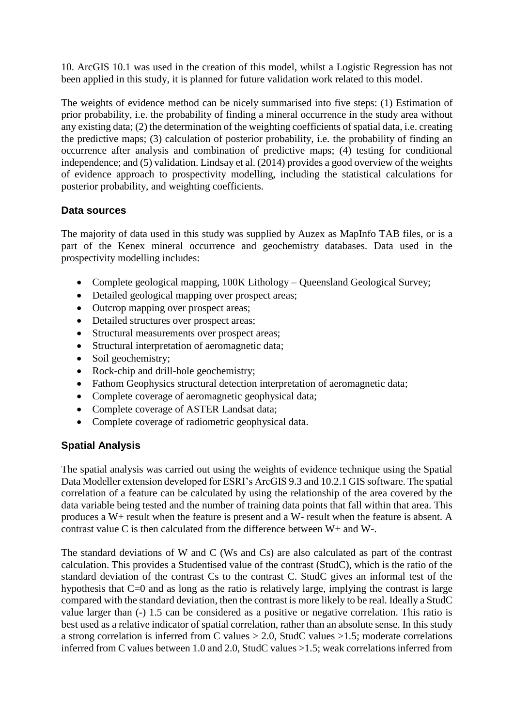10. ArcGIS 10.1 was used in the creation of this model, whilst a Logistic Regression has not been applied in this study, it is planned for future validation work related to this model.

The weights of evidence method can be nicely summarised into five steps: (1) Estimation of prior probability, i.e. the probability of finding a mineral occurrence in the study area without any existing data; (2) the determination of the weighting coefficients of spatial data, i.e. creating the predictive maps; (3) calculation of posterior probability, i.e. the probability of finding an occurrence after analysis and combination of predictive maps; (4) testing for conditional independence; and (5) validation. Lindsay et al. (2014) provides a good overview of the weights of evidence approach to prospectivity modelling, including the statistical calculations for posterior probability, and weighting coefficients.

#### **Data sources**

The majority of data used in this study was supplied by Auzex as MapInfo TAB files, or is a part of the Kenex mineral occurrence and geochemistry databases. Data used in the prospectivity modelling includes:

- Complete geological mapping, 100K Lithology Queensland Geological Survey;
- Detailed geological mapping over prospect areas;
- Outcrop mapping over prospect areas;
- Detailed structures over prospect areas;
- Structural measurements over prospect areas;
- Structural interpretation of aeromagnetic data;
- Soil geochemistry;
- Rock-chip and drill-hole geochemistry;
- Fathom Geophysics structural detection interpretation of aeromagnetic data;
- Complete coverage of aeromagnetic geophysical data;
- Complete coverage of ASTER Landsat data;
- Complete coverage of radiometric geophysical data.

#### **Spatial Analysis**

The spatial analysis was carried out using the weights of evidence technique using the Spatial Data Modeller extension developed for ESRI's ArcGIS 9.3 and 10.2.1 GIS software. The spatial correlation of a feature can be calculated by using the relationship of the area covered by the data variable being tested and the number of training data points that fall within that area. This produces a W+ result when the feature is present and a W- result when the feature is absent. A contrast value C is then calculated from the difference between W+ and W-.

The standard deviations of W and C (Ws and Cs) are also calculated as part of the contrast calculation. This provides a Studentised value of the contrast (StudC), which is the ratio of the standard deviation of the contrast Cs to the contrast C. StudC gives an informal test of the hypothesis that C=0 and as long as the ratio is relatively large, implying the contrast is large compared with the standard deviation, then the contrast is more likely to be real. Ideally a StudC value larger than (-) 1.5 can be considered as a positive or negative correlation. This ratio is best used as a relative indicator of spatial correlation, rather than an absolute sense. In this study a strong correlation is inferred from C values  $> 2.0$ , StudC values  $> 1.5$ ; moderate correlations inferred from C values between 1.0 and 2.0, StudC values >1.5; weak correlations inferred from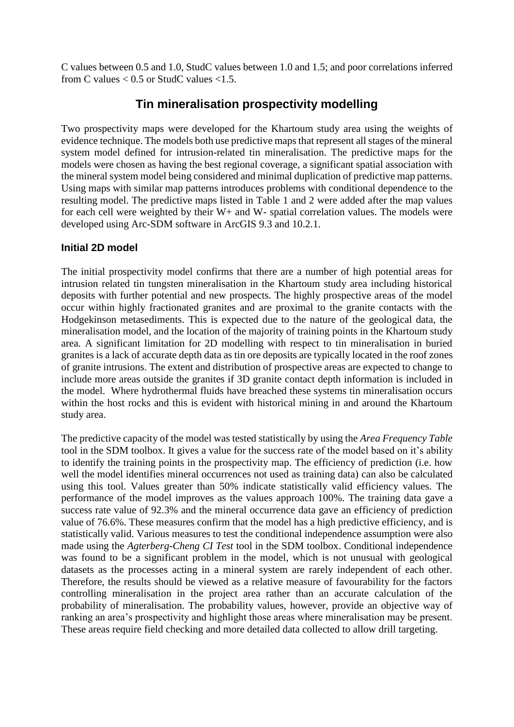C values between 0.5 and 1.0, StudC values between 1.0 and 1.5; and poor correlations inferred from C values  $< 0.5$  or StudC values  $< 1.5$ .

### **Tin mineralisation prospectivity modelling**

Two prospectivity maps were developed for the Khartoum study area using the weights of evidence technique. The models both use predictive maps that represent all stages of the mineral system model defined for intrusion-related tin mineralisation. The predictive maps for the models were chosen as having the best regional coverage, a significant spatial association with the mineral system model being considered and minimal duplication of predictive map patterns. Using maps with similar map patterns introduces problems with conditional dependence to the resulting model. The predictive maps listed in Table 1 and 2 were added after the map values for each cell were weighted by their W+ and W- spatial correlation values. The models were developed using Arc-SDM software in ArcGIS 9.3 and 10.2.1.

#### **Initial 2D model**

The initial prospectivity model confirms that there are a number of high potential areas for intrusion related tin tungsten mineralisation in the Khartoum study area including historical deposits with further potential and new prospects. The highly prospective areas of the model occur within highly fractionated granites and are proximal to the granite contacts with the Hodgekinson metasediments. This is expected due to the nature of the geological data, the mineralisation model, and the location of the majority of training points in the Khartoum study area. A significant limitation for 2D modelling with respect to tin mineralisation in buried granites is a lack of accurate depth data as tin ore deposits are typically located in the roof zones of granite intrusions. The extent and distribution of prospective areas are expected to change to include more areas outside the granites if 3D granite contact depth information is included in the model. Where hydrothermal fluids have breached these systems tin mineralisation occurs within the host rocks and this is evident with historical mining in and around the Khartoum study area.

The predictive capacity of the model was tested statistically by using the *Area Frequency Table*  tool in the SDM toolbox. It gives a value for the success rate of the model based on it's ability to identify the training points in the prospectivity map. The efficiency of prediction (i.e. how well the model identifies mineral occurrences not used as training data) can also be calculated using this tool. Values greater than 50% indicate statistically valid efficiency values. The performance of the model improves as the values approach 100%. The training data gave a success rate value of 92.3% and the mineral occurrence data gave an efficiency of prediction value of 76.6%. These measures confirm that the model has a high predictive efficiency, and is statistically valid. Various measures to test the conditional independence assumption were also made using the *Agterberg-Cheng CI Test* tool in the SDM toolbox. Conditional independence was found to be a significant problem in the model, which is not unusual with geological datasets as the processes acting in a mineral system are rarely independent of each other. Therefore, the results should be viewed as a relative measure of favourability for the factors controlling mineralisation in the project area rather than an accurate calculation of the probability of mineralisation. The probability values, however, provide an objective way of ranking an area's prospectivity and highlight those areas where mineralisation may be present. These areas require field checking and more detailed data collected to allow drill targeting.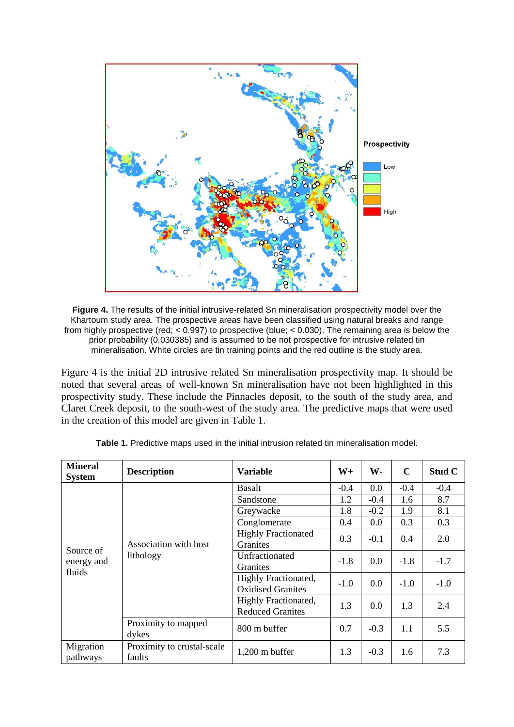

**Figure 4.** The results of the initial intrusive-related Sn mineralisation prospectivity model over the Khartoum study area. The prospective areas have been classified using natural breaks and range from highly prospective (red; < 0.997) to prospective (blue; < 0.030). The remaining area is below the prior probability (0.030385) and is assumed to be not prospective for intrusive related tin mineralisation. White circles are tin training points and the red outline is the study area.

Figure 4 is the initial 2D intrusive related Sn mineralisation prospectivity map. It should be noted that several areas of well-known Sn mineralisation have not been highlighted in this prospectivity study. These include the Pinnacles deposit, to the south of the study area, and Claret Creek deposit, to the south-west of the study area. The predictive maps that were used in the creation of this model are given in Table 1.

| <b>Mineral</b><br><b>System</b>   | <b>Description</b>                   | <b>Variable</b>                                  | $W_{+}$ | W-     | $\mathbf C$ | Stud C |
|-----------------------------------|--------------------------------------|--------------------------------------------------|---------|--------|-------------|--------|
| Source of<br>energy and<br>fluids | Association with host<br>lithology   | <b>Basalt</b>                                    | $-0.4$  | 0.0    | $-0.4$      | $-0.4$ |
|                                   |                                      | Sandstone                                        | 1.2     | $-0.4$ | 1.6         | 8.7    |
|                                   |                                      | Greywacke                                        | 1.8     | $-0.2$ | 1.9         | 8.1    |
|                                   |                                      | Conglomerate                                     | 0.4     | 0.0    | 0.3         | 0.3    |
|                                   |                                      | <b>Highly Fractionated</b><br><b>Granities</b>   | 0.3     | $-0.1$ | 0.4         | 2.0    |
|                                   |                                      | Unfractionated<br><b>Granites</b>                | $-1.8$  | 0.0    | $-1.8$      | $-1.7$ |
|                                   |                                      | Highly Fractionated,<br><b>Oxidised Granites</b> | $-1.0$  | 0.0    | $-1.0$      | $-1.0$ |
|                                   |                                      | Highly Fractionated,<br><b>Reduced Granites</b>  | 1.3     | 0.0    | 1.3         | 2.4    |
|                                   | Proximity to mapped<br>dykes         | 800 m buffer                                     | 0.7     | $-0.3$ | 1.1         | 5.5    |
| Migration<br>pathways             | Proximity to crustal-scale<br>faults | $1,200$ m buffer                                 | 1.3     | $-0.3$ | 1.6         | 7.3    |

**Table 1.** Predictive maps used in the initial intrusion related tin mineralisation model.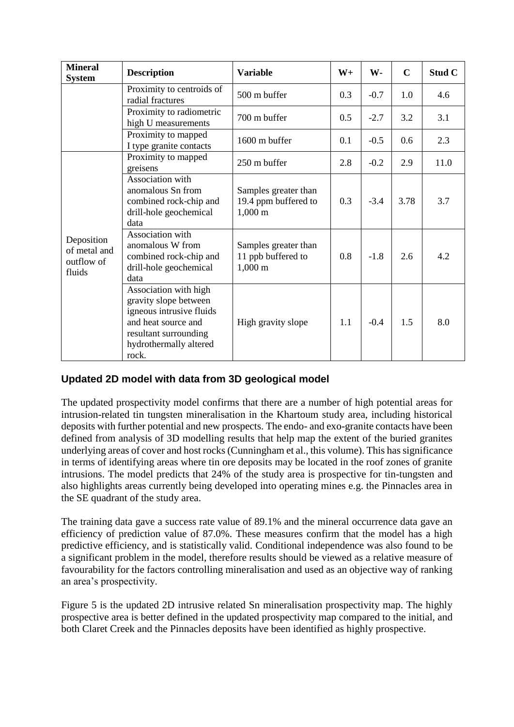| <b>Mineral</b><br><b>System</b>                    | <b>Description</b>                                                                                                                                            | <b>Variable</b>                                                       | $W_{+}$ | W-     | $\mathbf C$ | Stud C |
|----------------------------------------------------|---------------------------------------------------------------------------------------------------------------------------------------------------------------|-----------------------------------------------------------------------|---------|--------|-------------|--------|
|                                                    | Proximity to centroids of<br>radial fractures                                                                                                                 | 500 m buffer                                                          | 0.3     | $-0.7$ | 1.0         | 4.6    |
|                                                    | Proximity to radiometric<br>high U measurements                                                                                                               | 700 m buffer                                                          | 0.5     | $-2.7$ | 3.2         | 3.1    |
|                                                    | Proximity to mapped<br>I type granite contacts                                                                                                                | 1600 m buffer                                                         | 0.1     | $-0.5$ | 0.6         | 2.3    |
| Deposition<br>of metal and<br>outflow of<br>fluids | Proximity to mapped<br>greisens                                                                                                                               | 250 m buffer                                                          | 2.8     | $-0.2$ | 2.9         | 11.0   |
|                                                    | Association with<br>anomalous Sn from<br>combined rock-chip and<br>drill-hole geochemical<br>data                                                             | Samples greater than<br>19.4 ppm buffered to<br>$1,000 \; \mathrm{m}$ | 0.3     | $-3.4$ | 3.78        | 3.7    |
|                                                    | Association with<br>anomalous W from<br>combined rock-chip and<br>drill-hole geochemical<br>data                                                              | Samples greater than<br>11 ppb buffered to<br>$1,000 \; \mathrm{m}$   | 0.8     | $-1.8$ | 2.6         | 4.2    |
|                                                    | Association with high<br>gravity slope between<br>igneous intrusive fluids<br>and heat source and<br>resultant surrounding<br>hydrothermally altered<br>rock. | High gravity slope                                                    | 1.1     | $-0.4$ | 1.5         | 8.0    |

#### **Updated 2D model with data from 3D geological model**

The updated prospectivity model confirms that there are a number of high potential areas for intrusion-related tin tungsten mineralisation in the Khartoum study area, including historical deposits with further potential and new prospects. The endo- and exo-granite contacts have been defined from analysis of 3D modelling results that help map the extent of the buried granites underlying areas of cover and host rocks (Cunningham et al., this volume). This has significance in terms of identifying areas where tin ore deposits may be located in the roof zones of granite intrusions. The model predicts that 24% of the study area is prospective for tin-tungsten and also highlights areas currently being developed into operating mines e.g. the Pinnacles area in the SE quadrant of the study area.

The training data gave a success rate value of 89.1% and the mineral occurrence data gave an efficiency of prediction value of 87.0%. These measures confirm that the model has a high predictive efficiency, and is statistically valid. Conditional independence was also found to be a significant problem in the model, therefore results should be viewed as a relative measure of favourability for the factors controlling mineralisation and used as an objective way of ranking an area's prospectivity.

Figure 5 is the updated 2D intrusive related Sn mineralisation prospectivity map. The highly prospective area is better defined in the updated prospectivity map compared to the initial, and both Claret Creek and the Pinnacles deposits have been identified as highly prospective.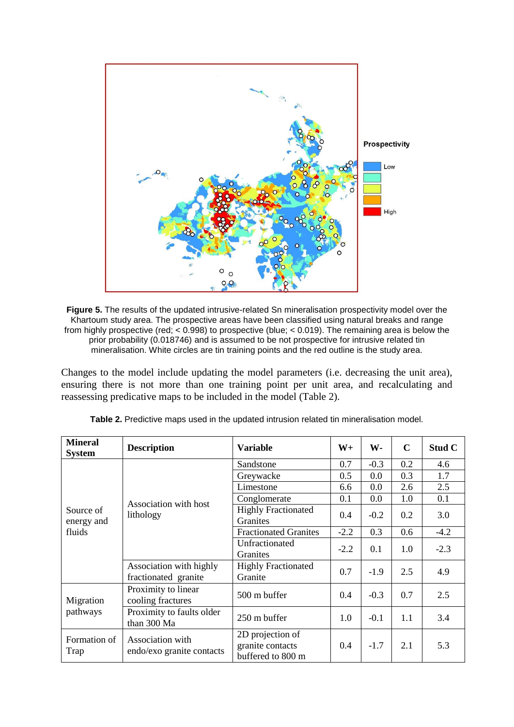

**Figure 5.** The results of the updated intrusive-related Sn mineralisation prospectivity model over the Khartoum study area. The prospective areas have been classified using natural breaks and range from highly prospective (red; < 0.998) to prospective (blue; < 0.019). The remaining area is below the prior probability (0.018746) and is assumed to be not prospective for intrusive related tin mineralisation. White circles are tin training points and the red outline is the study area.

Changes to the model include updating the model parameters (i.e. decreasing the unit area), ensuring there is not more than one training point per unit area, and recalculating and reassessing predicative maps to be included in the model (Table 2).

| <b>Mineral</b><br><b>System</b>   | <b>Description</b>                              | <b>Variable</b>                                           | $W_{+}$ | W-     | $\mathbf C$ | Stud C |
|-----------------------------------|-------------------------------------------------|-----------------------------------------------------------|---------|--------|-------------|--------|
| Source of<br>energy and<br>fluids | Association with host<br>lithology              | Sandstone                                                 | 0.7     | $-0.3$ | 0.2         | 4.6    |
|                                   |                                                 | Greywacke                                                 | 0.5     | 0.0    | 0.3         | 1.7    |
|                                   |                                                 | Limestone                                                 | 6.6     | 0.0    | 2.6         | 2.5    |
|                                   |                                                 | Conglomerate                                              | 0.1     | 0.0    | 1.0         | 0.1    |
|                                   |                                                 | <b>Highly Fractionated</b><br><b>Granites</b>             | 0.4     | $-0.2$ | 0.2         | 3.0    |
|                                   |                                                 | <b>Fractionated Granites</b>                              | $-2.2$  | 0.3    | 0.6         | $-4.2$ |
|                                   |                                                 | Unfractionated<br>Granites                                | $-2.2$  | 0.1    | 1.0         | $-2.3$ |
|                                   | Association with highly<br>fractionated granite | <b>Highly Fractionated</b><br>Granite                     | 0.7     | $-1.9$ | 2.5         | 4.9    |
| Migration<br>pathways             | Proximity to linear<br>cooling fractures        | 500 m buffer                                              | 0.4     | $-0.3$ | 0.7         | 2.5    |
|                                   | Proximity to faults older<br>than 300 Ma        | 250 m buffer                                              | 1.0     | $-0.1$ | 1.1         | 3.4    |
| Formation of<br>Trap              | Association with<br>endo/exo granite contacts   | 2D projection of<br>granite contacts<br>buffered to 800 m | 0.4     | $-1.7$ | 2.1         | 5.3    |

**Table 2.** Predictive maps used in the updated intrusion related tin mineralisation model.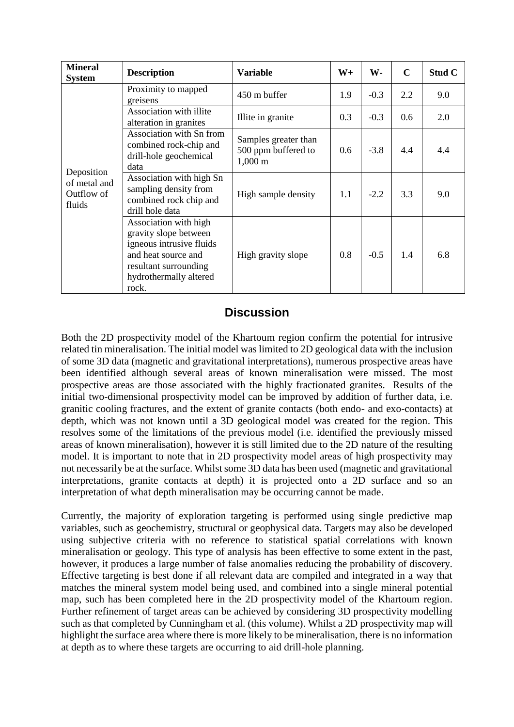| <b>Mineral</b><br><b>System</b>                    | <b>Description</b>                                                                                                                                            | <b>Variable</b>                                                      | $W_{+}$       | W-     | $\mathbf C$ | Stud C |
|----------------------------------------------------|---------------------------------------------------------------------------------------------------------------------------------------------------------------|----------------------------------------------------------------------|---------------|--------|-------------|--------|
| Deposition<br>of metal and<br>Outflow of<br>fluids | Proximity to mapped<br>greisens                                                                                                                               | 450 m buffer                                                         | 1.9           | $-0.3$ | 2.2         | 9.0    |
|                                                    | Association with illite<br>alteration in granites                                                                                                             | Illite in granite                                                    | 0.3           | $-0.3$ | 0.6         | 2.0    |
|                                                    | Association with Sn from<br>combined rock-chip and<br>drill-hole geochemical<br>data                                                                          | Samples greater than<br>500 ppm buffered to<br>$1,000 \; \mathrm{m}$ | $0.6^{\circ}$ | $-3.8$ | 4.4         | 4.4    |
|                                                    | Association with high Sn<br>sampling density from<br>combined rock chip and<br>drill hole data                                                                | High sample density                                                  | 1.1           | $-2.2$ | 3.3         | 9.0    |
|                                                    | Association with high<br>gravity slope between<br>igneous intrusive fluids<br>and heat source and<br>resultant surrounding<br>hydrothermally altered<br>rock. | High gravity slope                                                   | 0.8           | $-0.5$ | 1.4         | 6.8    |

## **Discussion**

Both the 2D prospectivity model of the Khartoum region confirm the potential for intrusive related tin mineralisation. The initial model was limited to 2D geological data with the inclusion of some 3D data (magnetic and gravitational interpretations), numerous prospective areas have been identified although several areas of known mineralisation were missed. The most prospective areas are those associated with the highly fractionated granites. Results of the initial two-dimensional prospectivity model can be improved by addition of further data, i.e. granitic cooling fractures, and the extent of granite contacts (both endo- and exo-contacts) at depth, which was not known until a 3D geological model was created for the region. This resolves some of the limitations of the previous model (i.e. identified the previously missed areas of known mineralisation), however it is still limited due to the 2D nature of the resulting model. It is important to note that in 2D prospectivity model areas of high prospectivity may not necessarily be at the surface. Whilst some 3D data has been used (magnetic and gravitational interpretations, granite contacts at depth) it is projected onto a 2D surface and so an interpretation of what depth mineralisation may be occurring cannot be made.

Currently, the majority of exploration targeting is performed using single predictive map variables, such as geochemistry, structural or geophysical data. Targets may also be developed using subjective criteria with no reference to statistical spatial correlations with known mineralisation or geology. This type of analysis has been effective to some extent in the past, however, it produces a large number of false anomalies reducing the probability of discovery. Effective targeting is best done if all relevant data are compiled and integrated in a way that matches the mineral system model being used, and combined into a single mineral potential map, such has been completed here in the 2D prospectivity model of the Khartoum region. Further refinement of target areas can be achieved by considering 3D prospectivity modelling such as that completed by Cunningham et al. (this volume). Whilst a 2D prospectivity map will highlight the surface area where there is more likely to be mineralisation, there is no information at depth as to where these targets are occurring to aid drill-hole planning.